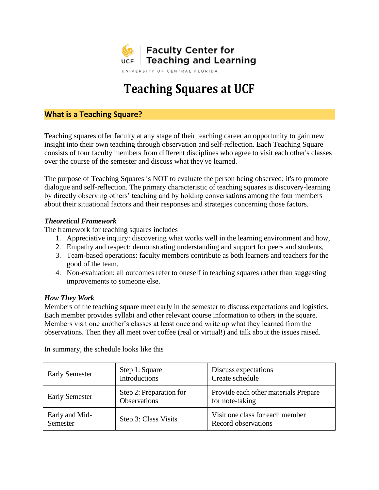

# **Teaching Squares at UCF**

## **What is a Teaching Square?**

Teaching squares offer faculty at any stage of their teaching career an opportunity to gain new insight into their own teaching through observation and self-reflection. Each Teaching Square consists of four faculty members from different disciplines who agree to visit each other's classes over the course of the semester and discuss what they've learned.

The purpose of Teaching Squares is NOT to evaluate the person being observed; it's to promote dialogue and self-reflection. The primary characteristic of teaching squares is discovery-learning by directly observing others' teaching and by holding conversations among the four members about their situational factors and their responses and strategies concerning those factors.

#### *Theoretical Framework*

The framework for teaching squares includes

- 1. Appreciative inquiry: discovering what works well in the learning environment and how,
- 2. Empathy and respect: demonstrating understanding and support for peers and students,
- 3. Team-based operations: faculty members contribute as both learners and teachers for the good of the team,
- 4. Non-evaluation: all outcomes refer to oneself in teaching squares rather than suggesting improvements to someone else.

#### *How They Work*

Members of the teaching square meet early in the semester to discuss expectations and logistics. Each member provides syllabi and other relevant course information to others in the square. Members visit one another's classes at least once and write up what they learned from the observations. Then they all meet over coffee (real or virtual!) and talk about the issues raised.

| <b>Early Semester</b>      | Step 1: Square<br>Introductions                | Discuss expectations<br>Create schedule                 |
|----------------------------|------------------------------------------------|---------------------------------------------------------|
| <b>Early Semester</b>      | Step 2: Preparation for<br><b>Observations</b> | Provide each other materials Prepare<br>for note-taking |
| Early and Mid-<br>Semester | Step 3: Class Visits                           | Visit one class for each member<br>Record observations  |

In summary, the schedule looks like this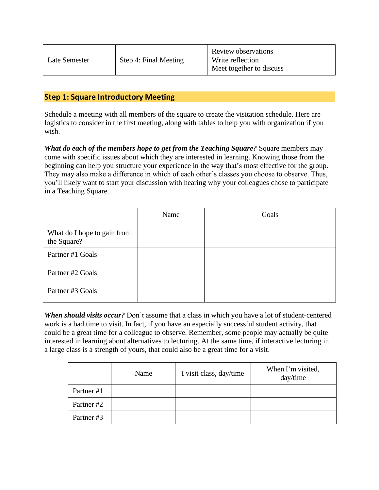| Late Semester | Step 4: Final Meeting | Review observations<br>Write reflection<br>Meet together to discuss |
|---------------|-----------------------|---------------------------------------------------------------------|
|---------------|-----------------------|---------------------------------------------------------------------|

## **Step 1: Square Introductory Meeting**

Schedule a meeting with all members of the square to create the visitation schedule. Here are logistics to consider in the first meeting, along with tables to help you with organization if you wish.

*What do each of the members hope to get from the Teaching Square?* Square members may come with specific issues about which they are interested in learning. Knowing those from the beginning can help you structure your experience in the way that's most effective for the group. They may also make a difference in which of each other's classes you choose to observe. Thus, you'll likely want to start your discussion with hearing why your colleagues chose to participate in a Teaching Square.

|                                            | Name | Goals |
|--------------------------------------------|------|-------|
| What do I hope to gain from<br>the Square? |      |       |
| Partner #1 Goals                           |      |       |
| Partner #2 Goals                           |      |       |
| Partner #3 Goals                           |      |       |

*When should visits occur?* Don't assume that a class in which you have a lot of student-centered work is a bad time to visit. In fact, if you have an especially successful student activity, that could be a great time for a colleague to observe. Remember, some people may actually be quite interested in learning about alternatives to lecturing. At the same time, if interactive lecturing in a large class is a strength of yours, that could also be a great time for a visit.

|            | Name | I visit class, day/time | When I'm visited,<br>day/time |
|------------|------|-------------------------|-------------------------------|
| Partner #1 |      |                         |                               |
| Partner #2 |      |                         |                               |
| Partner#3  |      |                         |                               |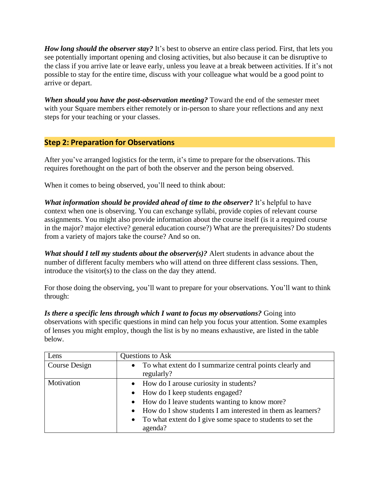*How long should the observer stay?* It's best to observe an entire class period. First, that lets you see potentially important opening and closing activities, but also because it can be disruptive to the class if you arrive late or leave early, unless you leave at a break between activities. If it's not possible to stay for the entire time, discuss with your colleague what would be a good point to arrive or depart.

*When should you have the post-observation meeting?* Toward the end of the semester meet with your Square members either remotely or in-person to share your reflections and any next steps for your teaching or your classes.

## **Step 2: Preparation for Observations**

After you've arranged logistics for the term, it's time to prepare for the observations. This requires forethought on the part of both the observer and the person being observed.

When it comes to being observed, you'll need to think about:

*What information should be provided ahead of time to the observer?* It's helpful to have context when one is observing. You can exchange syllabi, provide copies of relevant course assignments. You might also provide information about the course itself (is it a required course in the major? major elective? general education course?) What are the prerequisites? Do students from a variety of majors take the course? And so on.

*What should I tell my students about the observer(s)?* Alert students in advance about the number of different faculty members who will attend on three different class sessions. Then, introduce the visitor(s) to the class on the day they attend.

For those doing the observing, you'll want to prepare for your observations. You'll want to think through:

*Is there a specific lens through which I want to focus my observations?* Going into observations with specific questions in mind can help you focus your attention. Some examples of lenses you might employ, though the list is by no means exhaustive, are listed in the table below.

| Lens          | Questions to Ask                                                         |
|---------------|--------------------------------------------------------------------------|
| Course Design | • To what extent do I summarize central points clearly and<br>regularly? |
| Motivation    | • How do I arouse curiosity in students?                                 |
|               | • How do I keep students engaged?                                        |
|               | • How do I leave students wanting to know more?                          |
|               | • How do I show students I am interested in them as learners?            |
|               | • To what extent do I give some space to students to set the             |
|               | agenda?                                                                  |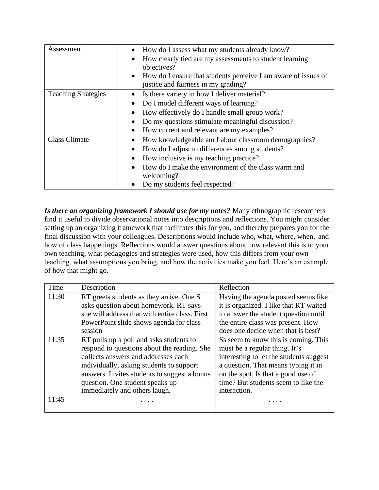| Assessment                 | How do I assess what my students already know?                              |
|----------------------------|-----------------------------------------------------------------------------|
|                            | How clearly tied are my assessments to student learning                     |
|                            | objectives?                                                                 |
|                            | How do I ensure that students perceive I am aware of issues of<br>$\bullet$ |
|                            | justice and fairness in my grading?                                         |
| <b>Teaching Strategies</b> | Is there variety in how I deliver material?                                 |
|                            | Do I model different ways of learning?                                      |
|                            | How effectively do I handle small group work?                               |
|                            | Do my questions stimulate meaningful discussion?                            |
|                            | How current and relevant are my examples?<br>$\bullet$                      |
| <b>Class Climate</b>       | How knowledgeable am I about classroom demographics?                        |
|                            | How do I adjust to differences among students?                              |
|                            | How inclusive is my teaching practice?                                      |
|                            | How do I make the environment of the class warm and                         |
|                            | welcoming?                                                                  |
|                            | Do my students feel respected?                                              |

*Is there an organizing framework I should use for my notes?* Many ethnographic researchers find it useful to divide observational notes into descriptions and reflections. You might consider setting up an organizing framework that facilitates this for you, and thereby prepares you for the final discussion with your colleagues. Descriptions would include who, what, where, when, and how of class happenings. Reflections would answer questions about how relevant this is to your own teaching, what pedagogies and strategies were used, how this differs from your own teaching, what assumptions you bring, and how the activities make you feel. Here's an example of how that might go.

| Time  | Description                                    | Reflection                              |
|-------|------------------------------------------------|-----------------------------------------|
| 11:30 | RT greets students as they arrive. One S       | Having the agenda posted seems like     |
|       | asks question about homework. RT says          | it is organized. I like that RT waited  |
|       | she will address that with entire class. First | to answer the student question until    |
|       | PowerPoint slide shows agenda for class        | the entire class was present. How       |
|       | session                                        | does one decide when that is best?      |
| 11:35 | RT pulls up a poll and asks students to        | Ss seem to know this is coming. This    |
|       | respond to questions about the reading. She    | must be a regular thing. It's           |
|       | collects answers and addresses each            | interesting to let the students suggest |
|       | individually, asking students to support       | a question. That means typing it in     |
|       | answers. Invites students to suggest a bonus   | on the spot. Is that a good use of      |
|       | question. One student speaks up                | time? But students seem to like the     |
|       | immediately and others laugh.                  | interaction.                            |
| 11:45 |                                                |                                         |
|       |                                                |                                         |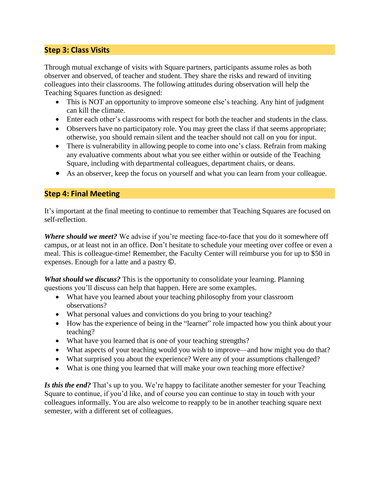# **Step 3: Class Visits**

Through mutual exchange of visits with Square partners, participants assume roles as both observer and observed, of teacher and student. They share the risks and reward of inviting colleagues into their classrooms. The following attitudes during observation will help the Teaching Squares function as designed:

- This is NOT an opportunity to improve someone else's teaching. Any hint of judgment can kill the climate.
- Enter each other's classrooms with respect for both the teacher and students in the class.
- Observers have no participatory role. You may greet the class if that seems appropriate; otherwise, you should remain silent and the teacher should not call on you for input.
- There is vulnerability in allowing people to come into one's class. Refrain from making any evaluative comments about what you see either within or outside of the Teaching Square, including with departmental colleagues, department chairs, or deans.
- As an observer, keep the focus on yourself and what you can learn from your colleague.

## **Step 4: Final Meeting**

It's important at the final meeting to continue to remember that Teaching Squares are focused on self-reflection.

*Where should we meet?* We advise if you're meeting face-to-face that you do it somewhere off campus, or at least not in an office. Don't hesitate to schedule your meeting over coffee or even a meal. This is colleague-time! Remember, the Faculty Center will reimburse you for up to \$50 in expenses. Enough for a latte and a pastry ©.

*What should we discuss?* This is the opportunity to consolidate your learning. Planning questions you'll discuss can help that happen. Here are some examples.

- What have you learned about your teaching philosophy from your classroom observations?
- What personal values and convictions do you bring to your teaching?
- How has the experience of being in the "learner" role impacted how you think about your teaching?
- What have you learned that is one of your teaching strengths?
- What aspects of your teaching would you wish to improve—and how might you do that?
- What surprised you about the experience? Were any of your assumptions challenged?
- What is one thing you learned that will make your own teaching more effective?

*Is this the end?* That's up to you. We're happy to facilitate another semester for your Teaching Square to continue, if you'd like, and of course you can continue to stay in touch with your colleagues informally. You are also welcome to reapply to be in another teaching square next semester, with a different set of colleagues.